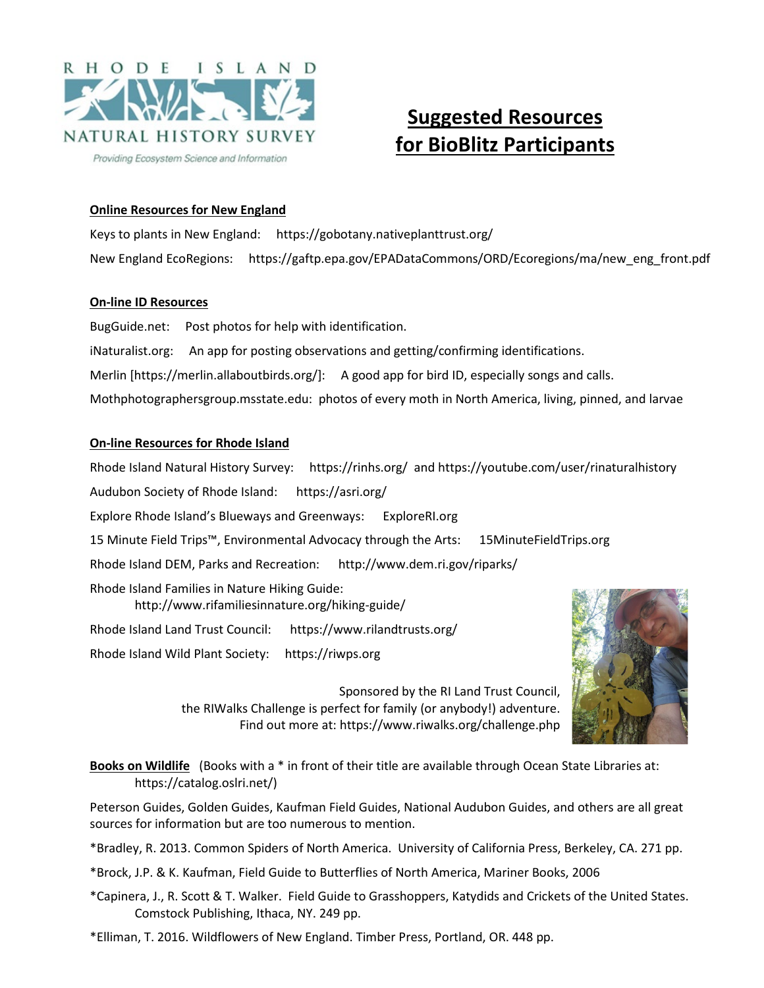

# **Suggested Resources for BioBlitz Participants**

## **Online Resources for New England**

Keys to plants in New England: https://gobotany.nativeplanttrust.org/ New England EcoRegions: https://gaftp.epa.gov/EPADataCommons/ORD/Ecoregions/ma/new\_eng\_front.pdf

### **On-line ID Resources**

BugGuide.net: Post photos for help with identification. iNaturalist.org: An app for posting observations and getting/confirming identifications. Merlin [https://merlin.allaboutbirds.org/]: A good app for bird ID, especially songs and calls. Mothphotographersgroup.msstate.edu: photos of every moth in North America, living, pinned, and larvae

## **On-line Resources for Rhode Island**

Rhode Island Natural History Survey: https://rinhs.org/ and https://youtube.com/user/rinaturalhistory Audubon Society of Rhode Island: https://asri.org/ Explore Rhode Island's Blueways and Greenways: ExploreRI.org 15 Minute Field Trips™, Environmental Advocacy through the Arts: 15MinuteFieldTrips.org Rhode Island DEM, Parks and Recreation: http://www.dem.ri.gov/riparks/ Rhode Island Families in Nature Hiking Guide: http://www.rifamiliesinnature.org/hiking-guide/ Rhode Island Land Trust Council: https://www.rilandtrusts.org/ Rhode Island Wild Plant Society: https://riwps.org



Sponsored by the RI Land Trust Council, the RIWalks Challenge is perfect for family (or anybody!) adventure. Find out more at: https://www.riwalks.org/challenge.php

**Books on Wildlife** (Books with a \* in front of their title are available through Ocean State Libraries at: https://catalog.oslri.net/)

Peterson Guides, Golden Guides, Kaufman Field Guides, National Audubon Guides, and others are all great sources for information but are too numerous to mention.

\*Bradley, R. 2013. Common Spiders of North America. University of California Press, Berkeley, CA. 271 pp.

\*Brock, J.P. & K. Kaufman, Field Guide to Butterflies of North America, Mariner Books, 2006

\*Capinera, J., R. Scott & T. Walker. Field Guide to Grasshoppers, Katydids and Crickets of the United States. Comstock Publishing, Ithaca, NY. 249 pp.

\*Elliman, T. 2016. Wildflowers of New England. Timber Press, Portland, OR. 448 pp.